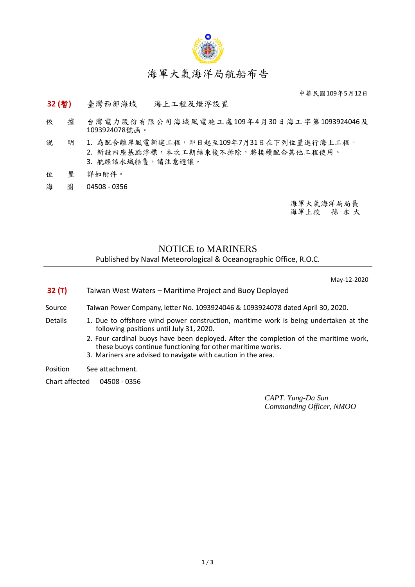

## 海軍大氣海洋局航船布告

中華民國109年5月12日

## **32 (**暫**)** 臺灣西部海域 - 海上工程及燈浮設置

- 依 據 台灣電力股份有限公司海域風電施工處109年4月30日海工字第1093924046及 1093924078號函。
- 說 明 1. 為配合離岸風電新建工程,即日起至109年7月31日在下列位置進行海上工程。 2. 新設四座基點浮標,本次工期結束後不拆除,將接續配合其他工程使用。 3. 航經該水域船隻,請注意避讓。
- 位 置 詳如附件。
- 海 圖 04508 0356

海軍大氣海洋局局長 海軍上校 孫 永 大

## NOTICE to MARINERS Published by Naval Meteorological & Oceanographic Office, R.O.C.

May-12-2020

**32 (T)** Taiwan West Waters – Maritime Project and Buoy Deployed

Source Taiwan Power Company, letter No. 1093924046 & 1093924078 dated April 30, 2020.

- Details 1. Due to offshore wind power construction, maritime work is being undertaken at the following positions until July 31, 2020.
	- 2. Four cardinal buoys have been deployed. After the completion of the maritime work, these buoys continue functioning for other maritime works.
	- 3. Mariners are advised to navigate with caution in the area.

Position See attachment.

Chart affected 04508 - 0356

*CAPT. Yung-Da Sun Commanding Officer, NMOO*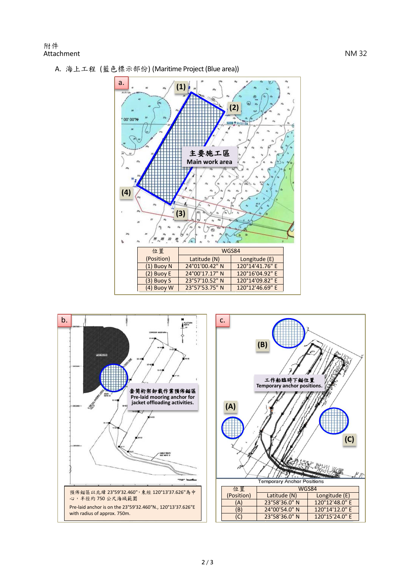ļ



A. 海上工程 (藍色標示部份) (Maritime Project(Blue area))